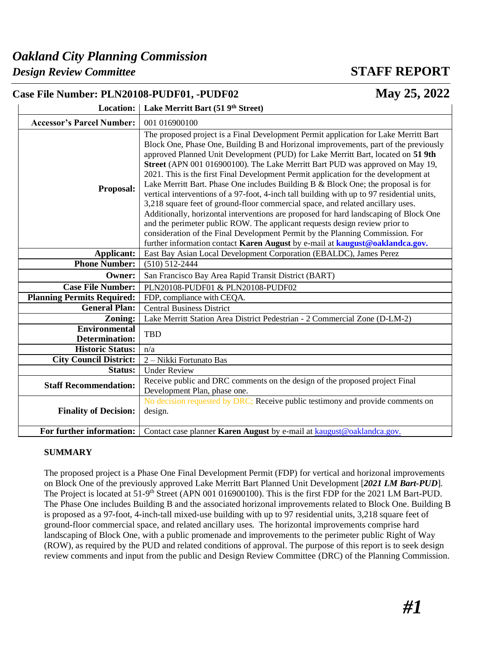## *Oakland City Planning Commission*

### *Design Review Committee* **STAFF REPORT**

| May 25, 2022<br>Case File Number: PLN20108-PUDF01, -PUDF02 |                                                                                                                                                                                                                                                                                                                                                                                                                                                                                                                                                                                                                                                                                                                                                                                                                                                                                                                                                                                                                                                        |  |  |
|------------------------------------------------------------|--------------------------------------------------------------------------------------------------------------------------------------------------------------------------------------------------------------------------------------------------------------------------------------------------------------------------------------------------------------------------------------------------------------------------------------------------------------------------------------------------------------------------------------------------------------------------------------------------------------------------------------------------------------------------------------------------------------------------------------------------------------------------------------------------------------------------------------------------------------------------------------------------------------------------------------------------------------------------------------------------------------------------------------------------------|--|--|
|                                                            | Location:   Lake Merritt Bart (51 9th Street)                                                                                                                                                                                                                                                                                                                                                                                                                                                                                                                                                                                                                                                                                                                                                                                                                                                                                                                                                                                                          |  |  |
| <b>Accessor's Parcel Number:</b>                           | 001 016900100                                                                                                                                                                                                                                                                                                                                                                                                                                                                                                                                                                                                                                                                                                                                                                                                                                                                                                                                                                                                                                          |  |  |
| Proposal:                                                  | The proposed project is a Final Development Permit application for Lake Merritt Bart<br>Block One, Phase One, Building B and Horizonal improvements, part of the previously<br>approved Planned Unit Development (PUD) for Lake Merritt Bart, located on 51 9th<br>Street (APN 001 016900100). The Lake Merritt Bart PUD was approved on May 19,<br>2021. This is the first Final Development Permit application for the development at<br>Lake Merritt Bart. Phase One includes Building B & Block One; the proposal is for<br>vertical interventions of a 97-foot, 4-inch tall building with up to 97 residential units,<br>3,218 square feet of ground-floor commercial space, and related ancillary uses.<br>Additionally, horizontal interventions are proposed for hard landscaping of Block One<br>and the perimeter public ROW. The applicant requests design review prior to<br>consideration of the Final Development Permit by the Planning Commission. For<br>further information contact Karen August by e-mail at kaugust@oaklandca.gov. |  |  |
| Applicant:                                                 | East Bay Asian Local Development Corporation (EBALDC), James Perez                                                                                                                                                                                                                                                                                                                                                                                                                                                                                                                                                                                                                                                                                                                                                                                                                                                                                                                                                                                     |  |  |
| <b>Phone Number:</b>                                       | $(510) 512 - 2444$                                                                                                                                                                                                                                                                                                                                                                                                                                                                                                                                                                                                                                                                                                                                                                                                                                                                                                                                                                                                                                     |  |  |
| Owner:                                                     | San Francisco Bay Area Rapid Transit District (BART)                                                                                                                                                                                                                                                                                                                                                                                                                                                                                                                                                                                                                                                                                                                                                                                                                                                                                                                                                                                                   |  |  |
| <b>Case File Number:</b>                                   | PLN20108-PUDF01 & PLN20108-PUDF02                                                                                                                                                                                                                                                                                                                                                                                                                                                                                                                                                                                                                                                                                                                                                                                                                                                                                                                                                                                                                      |  |  |
| <b>Planning Permits Required:</b>                          | FDP, compliance with CEQA.                                                                                                                                                                                                                                                                                                                                                                                                                                                                                                                                                                                                                                                                                                                                                                                                                                                                                                                                                                                                                             |  |  |
| <b>General Plan:</b>                                       | <b>Central Business District</b>                                                                                                                                                                                                                                                                                                                                                                                                                                                                                                                                                                                                                                                                                                                                                                                                                                                                                                                                                                                                                       |  |  |
| Zoning:                                                    | Lake Merritt Station Area District Pedestrian - 2 Commercial Zone (D-LM-2)                                                                                                                                                                                                                                                                                                                                                                                                                                                                                                                                                                                                                                                                                                                                                                                                                                                                                                                                                                             |  |  |
| <b>Environmental</b><br><b>Determination:</b>              | <b>TBD</b>                                                                                                                                                                                                                                                                                                                                                                                                                                                                                                                                                                                                                                                                                                                                                                                                                                                                                                                                                                                                                                             |  |  |
| <b>Historic Status:</b>                                    | n/a                                                                                                                                                                                                                                                                                                                                                                                                                                                                                                                                                                                                                                                                                                                                                                                                                                                                                                                                                                                                                                                    |  |  |
| <b>City Council District:</b>                              | 2 - Nikki Fortunato Bas                                                                                                                                                                                                                                                                                                                                                                                                                                                                                                                                                                                                                                                                                                                                                                                                                                                                                                                                                                                                                                |  |  |
| <b>Status:</b>                                             | <b>Under Review</b>                                                                                                                                                                                                                                                                                                                                                                                                                                                                                                                                                                                                                                                                                                                                                                                                                                                                                                                                                                                                                                    |  |  |
| <b>Staff Recommendation:</b>                               | Receive public and DRC comments on the design of the proposed project Final<br>Development Plan, phase one.                                                                                                                                                                                                                                                                                                                                                                                                                                                                                                                                                                                                                                                                                                                                                                                                                                                                                                                                            |  |  |
| <b>Finality of Decision:</b>                               | No decision requested by DRC; Receive public testimony and provide comments on<br>design.                                                                                                                                                                                                                                                                                                                                                                                                                                                                                                                                                                                                                                                                                                                                                                                                                                                                                                                                                              |  |  |
| For further information:                                   | Contact case planner Karen August by e-mail at kaugust@oaklandca.gov.                                                                                                                                                                                                                                                                                                                                                                                                                                                                                                                                                                                                                                                                                                                                                                                                                                                                                                                                                                                  |  |  |

#### **SUMMARY**

The proposed project is a Phase One Final Development Permit (FDP) for vertical and horizonal improvements on Block One of the previously approved Lake Merritt Bart Planned Unit Development [*2021 LM Bart-PUD*]. The Project is located at 51-9<sup>th</sup> Street (APN 001 016900100). This is the first FDP for the 2021 LM Bart-PUD. The Phase One includes Building B and the associated horizonal improvements related to Block One. Building B is proposed as a 97-foot, 4-inch-tall mixed-use building with up to 97 residential units, 3,218 square feet of ground-floor commercial space, and related ancillary uses. The horizontal improvements comprise hard landscaping of Block One, with a public promenade and improvements to the perimeter public Right of Way (ROW), as required by the PUD and related conditions of approval. The purpose of this report is to seek design review comments and input from the public and Design Review Committee (DRC) of the Planning Commission.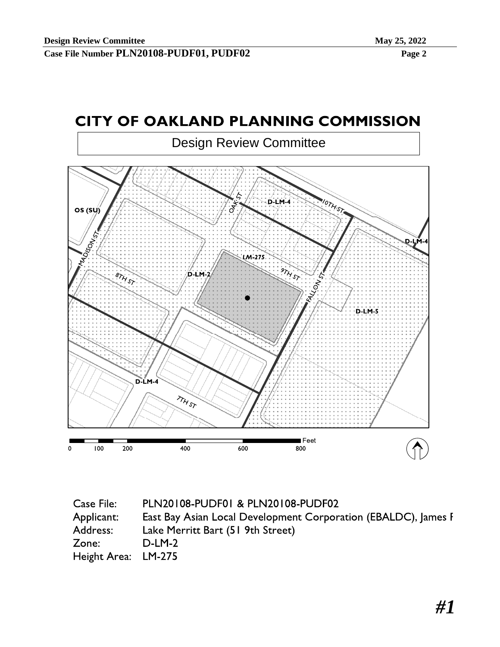



| PLN20108-PUDF01 & PLN20108-PUDF02                              |
|----------------------------------------------------------------|
| East Bay Asian Local Development Corporation (EBALDC), James F |
| Lake Merritt Bart (51 9th Street)                              |
| $D-LM-2$                                                       |
| Height Area: LM-275                                            |
|                                                                |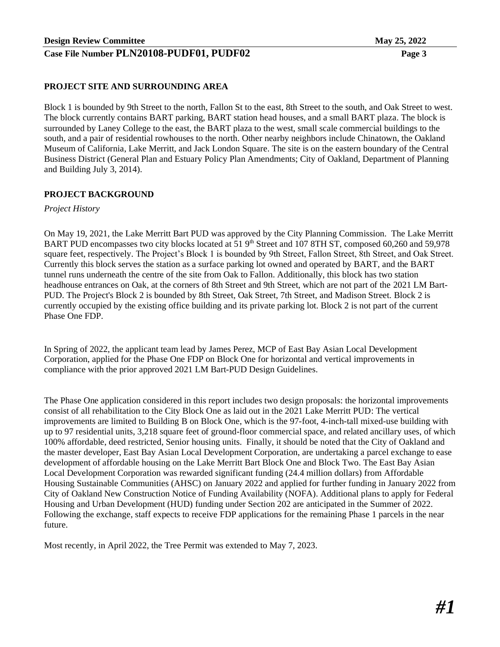#### **PROJECT SITE AND SURROUNDING AREA**

Block 1 is bounded by 9th Street to the north, Fallon St to the east, 8th Street to the south, and Oak Street to west. The block currently contains BART parking, BART station head houses, and a small BART plaza. The block is surrounded by Laney College to the east, the BART plaza to the west, small scale commercial buildings to the south, and a pair of residential rowhouses to the north. Other nearby neighbors include Chinatown, the Oakland Museum of California, Lake Merritt, and Jack London Square. The site is on the eastern boundary of the Central Business District (General Plan and Estuary Policy Plan Amendments; City of Oakland, Department of Planning and Building July 3, 2014).

#### **PROJECT BACKGROUND**

*Project History*

On May 19, 2021, the Lake Merritt Bart PUD was approved by the City Planning Commission. The Lake Merritt BART PUD encompasses two city blocks located at 51 9<sup>th</sup> Street and 107 8TH ST, composed 60,260 and 59,978 square feet, respectively. The Project's Block 1 is bounded by 9th Street, Fallon Street, 8th Street, and Oak Street. Currently this block serves the station as a surface parking lot owned and operated by BART, and the BART tunnel runs underneath the centre of the site from Oak to Fallon. Additionally, this block has two station headhouse entrances on Oak, at the corners of 8th Street and 9th Street, which are not part of the 2021 LM Bart-PUD. The Project's Block 2 is bounded by 8th Street, Oak Street, 7th Street, and Madison Street. Block 2 is currently occupied by the existing office building and its private parking lot. Block 2 is not part of the current Phase One FDP.

In Spring of 2022, the applicant team lead by James Perez, MCP of East Bay Asian Local Development Corporation, applied for the Phase One FDP on Block One for horizontal and vertical improvements in compliance with the prior approved 2021 LM Bart-PUD Design Guidelines.

The Phase One application considered in this report includes two design proposals: the horizontal improvements consist of all rehabilitation to the City Block One as laid out in the 2021 Lake Merritt PUD: The vertical improvements are limited to Building B on Block One, which is the 97-foot, 4-inch-tall mixed-use building with up to 97 residential units, 3,218 square feet of ground-floor commercial space, and related ancillary uses, of which 100% affordable, deed restricted, Senior housing units. Finally, it should be noted that the City of Oakland and the master developer, East Bay Asian Local Development Corporation, are undertaking a parcel exchange to ease development of affordable housing on the Lake Merritt Bart Block One and Block Two. The East Bay Asian Local Development Corporation was rewarded significant funding (24.4 million dollars) from Affordable Housing Sustainable Communities (AHSC) on January 2022 and applied for further funding in January 2022 from City of Oakland New Construction Notice of Funding Availability (NOFA). Additional plans to apply for Federal Housing and Urban Development (HUD) funding under Section 202 are anticipated in the Summer of 2022. Following the exchange, staff expects to receive FDP applications for the remaining Phase 1 parcels in the near future.

Most recently, in April 2022, the Tree Permit was extended to May 7, 2023.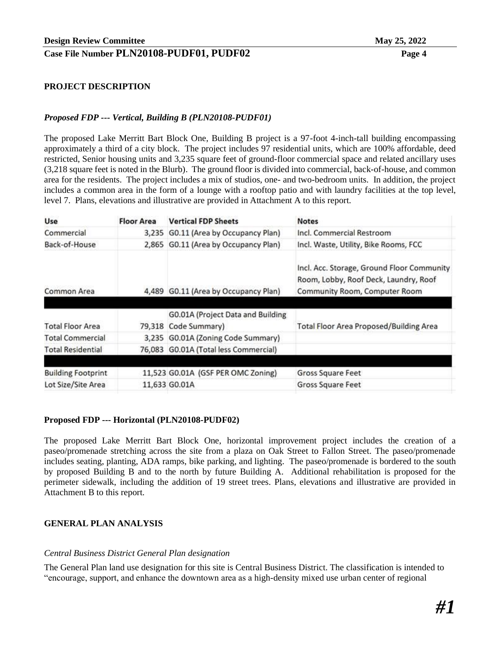#### **PROJECT DESCRIPTION**

#### *Proposed FDP --- Vertical, Building B (PLN20108-PUDF01)*

The proposed Lake Merritt Bart Block One, Building B project is a 97-foot 4-inch-tall building encompassing approximately a third of a city block. The project includes 97 residential units, which are 100% affordable, deed restricted, Senior housing units and 3,235 square feet of ground-floor commercial space and related ancillary uses (3,218 square feet is noted in the Blurb). The ground floor is divided into commercial, back-of-house, and common area for the residents. The project includes a mix of studios, one- and two-bedroom units. In addition, the project includes a common area in the form of a lounge with a rooftop patio and with laundry facilities at the top level, level 7. Plans, elevations and illustrative are provided in Attachment A to this report.

| Use                       | <b>Floor Area</b> | <b>Vertical FDP Sheets</b>            | <b>Notes</b>                                                                                                         |
|---------------------------|-------------------|---------------------------------------|----------------------------------------------------------------------------------------------------------------------|
| Commercial                |                   | 3,235 G0.11 (Area by Occupancy Plan)  | Incl. Commercial Restroom                                                                                            |
| Back-of-House             |                   | 2,865 G0.11 (Area by Occupancy Plan)  | Incl. Waste, Utility, Bike Rooms, FCC                                                                                |
| Common Area               | 4.489             | G0.11 (Area by Occupancy Plan)        | Incl. Acc. Storage, Ground Floor Community<br>Room, Lobby, Roof Deck, Laundry, Roof<br>Community Room, Computer Room |
|                           |                   | G0.01A (Project Data and Building     |                                                                                                                      |
| <b>Total Floor Area</b>   |                   | 79,318 Code Summary)                  | <b>Total Floor Area Proposed/Building Area</b>                                                                       |
| <b>Total Commercial</b>   |                   | 3,235 G0.01A (Zoning Code Summary)    |                                                                                                                      |
| <b>Total Residential</b>  |                   | 76,083 G0.01A (Total less Commercial) |                                                                                                                      |
|                           |                   |                                       |                                                                                                                      |
| <b>Building Footprint</b> |                   | 11,523 G0.01A (GSF PER OMC Zoning)    | Gross Square Feet                                                                                                    |
| Lot Size/Site Area        |                   | 11,633 GO.01A                         | Gross Square Feet                                                                                                    |

#### **Proposed FDP --- Horizontal (PLN20108-PUDF02)**

The proposed Lake Merritt Bart Block One, horizontal improvement project includes the creation of a paseo/promenade stretching across the site from a plaza on Oak Street to Fallon Street. The paseo/promenade includes seating, planting, ADA ramps, bike parking, and lighting. The paseo/promenade is bordered to the south by proposed Building B and to the north by future Building A. Additional rehabilitation is proposed for the perimeter sidewalk, including the addition of 19 street trees. Plans, elevations and illustrative are provided in Attachment B to this report.

#### **GENERAL PLAN ANALYSIS**

#### *Central Business District General Plan designation*

The General Plan land use designation for this site is Central Business District. The classification is intended to "encourage, support, and enhance the downtown area as a high-density mixed use urban center of regional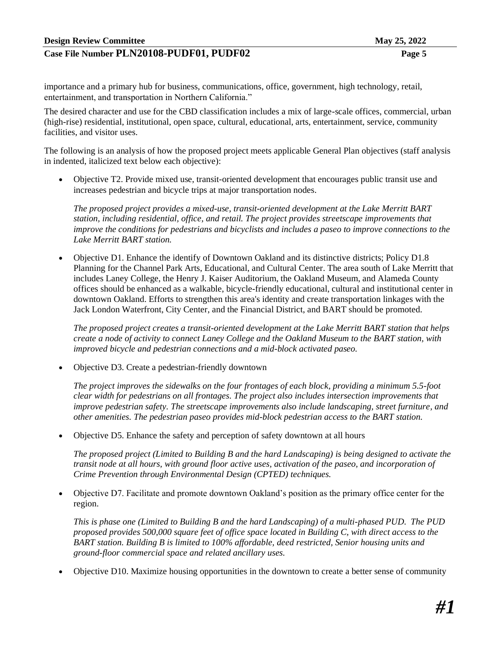importance and a primary hub for business, communications, office, government, high technology, retail, entertainment, and transportation in Northern California."

The desired character and use for the CBD classification includes a mix of large-scale offices, commercial, urban (high-rise) residential, institutional, open space, cultural, educational, arts, entertainment, service, community facilities, and visitor uses.

The following is an analysis of how the proposed project meets applicable General Plan objectives (staff analysis in indented, italicized text below each objective):

• Objective T2. Provide mixed use, transit-oriented development that encourages public transit use and increases pedestrian and bicycle trips at major transportation nodes.

*The proposed project provides a mixed-use, transit-oriented development at the Lake Merritt BART station, including residential, office, and retail. The project provides streetscape improvements that improve the conditions for pedestrians and bicyclists and includes a paseo to improve connections to the Lake Merritt BART station.* 

• Objective D1. Enhance the identify of Downtown Oakland and its distinctive districts; Policy D1.8 Planning for the Channel Park Arts, Educational, and Cultural Center. The area south of Lake Merritt that includes Laney College, the Henry J. Kaiser Auditorium, the Oakland Museum, and Alameda County offices should be enhanced as a walkable, bicycle-friendly educational, cultural and institutional center in downtown Oakland. Efforts to strengthen this area's identity and create transportation linkages with the Jack London Waterfront, City Center, and the Financial District, and BART should be promoted.

*The proposed project creates a transit-oriented development at the Lake Merritt BART station that helps create a node of activity to connect Laney College and the Oakland Museum to the BART station, with improved bicycle and pedestrian connections and a mid-block activated paseo.* 

• Objective D3. Create a pedestrian-friendly downtown

*The project improves the sidewalks on the four frontages of each block, providing a minimum 5.5-foot clear width for pedestrians on all frontages. The project also includes intersection improvements that improve pedestrian safety. The streetscape improvements also include landscaping, street furniture, and other amenities. The pedestrian paseo provides mid-block pedestrian access to the BART station.*

• Objective D5. Enhance the safety and perception of safety downtown at all hours

*The proposed project (Limited to Building B and the hard Landscaping) is being designed to activate the transit node at all hours, with ground floor active uses, activation of the paseo, and incorporation of Crime Prevention through Environmental Design (CPTED) techniques.* 

• Objective D7. Facilitate and promote downtown Oakland's position as the primary office center for the region.

*This is phase one (Limited to Building B and the hard Landscaping) of a multi-phased PUD. The PUD proposed provides 500,000 square feet of office space located in Building C, with direct access to the BART station. Building B is limited to 100% affordable, deed restricted, Senior housing units and ground-floor commercial space and related ancillary uses.*

• Objective D10. Maximize housing opportunities in the downtown to create a better sense of community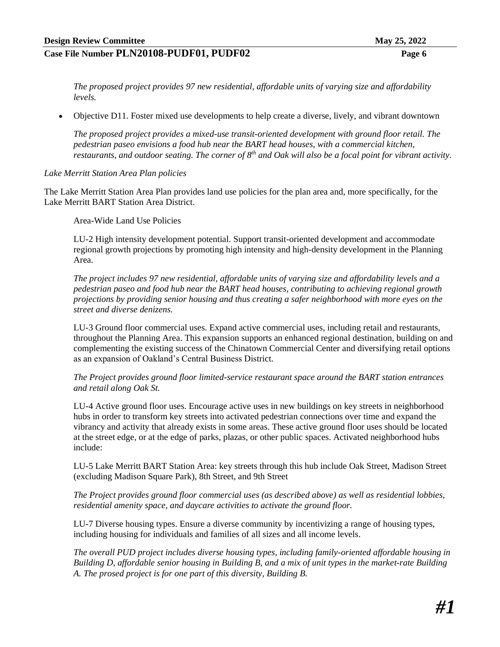*The proposed project provides 97 new residential, affordable units of varying size and affordability levels.* 

• Objective D11. Foster mixed use developments to help create a diverse, lively, and vibrant downtown

*The proposed project provides a mixed-use transit-oriented development with ground floor retail. The pedestrian paseo envisions a food hub near the BART head houses, with a commercial kitchen,*  restaurants, and outdoor seating. The corner of 8<sup>th</sup> and Oak will also be a focal point for vibrant activity.

#### *Lake Merritt Station Area Plan policies*

The Lake Merritt Station Area Plan provides land use policies for the plan area and, more specifically, for the Lake Merritt BART Station Area District.

Area-Wide Land Use Policies

LU-2 High intensity development potential. Support transit-oriented development and accommodate regional growth projections by promoting high intensity and high-density development in the Planning Area.

*The project includes 97 new residential, affordable units of varying size and affordability levels and a pedestrian paseo and food hub near the BART head houses, contributing to achieving regional growth projections by providing senior housing and thus creating a safer neighborhood with more eyes on the street and diverse denizens.*

LU-3 Ground floor commercial uses. Expand active commercial uses, including retail and restaurants, throughout the Planning Area. This expansion supports an enhanced regional destination, building on and complementing the existing success of the Chinatown Commercial Center and diversifying retail options as an expansion of Oakland's Central Business District.

*The Project provides ground floor limited-service restaurant space around the BART station entrances and retail along Oak St.* 

LU-4 Active ground floor uses. Encourage active uses in new buildings on key streets in neighborhood hubs in order to transform key streets into activated pedestrian connections over time and expand the vibrancy and activity that already exists in some areas. These active ground floor uses should be located at the street edge, or at the edge of parks, plazas, or other public spaces. Activated neighborhood hubs include:

LU-5 Lake Merritt BART Station Area: key streets through this hub include Oak Street, Madison Street (excluding Madison Square Park), 8th Street, and 9th Street

*The Project provides ground floor commercial uses (as described above) as well as residential lobbies, residential amenity space, and daycare activities to activate the ground floor.* 

LU-7 Diverse housing types. Ensure a diverse community by incentivizing a range of housing types, including housing for individuals and families of all sizes and all income levels.

*The overall PUD project includes diverse housing types, including family-oriented affordable housing in Building D, affordable senior housing in Building B, and a mix of unit types in the market-rate Building A. The prosed project is for one part of this diversity, Building B.*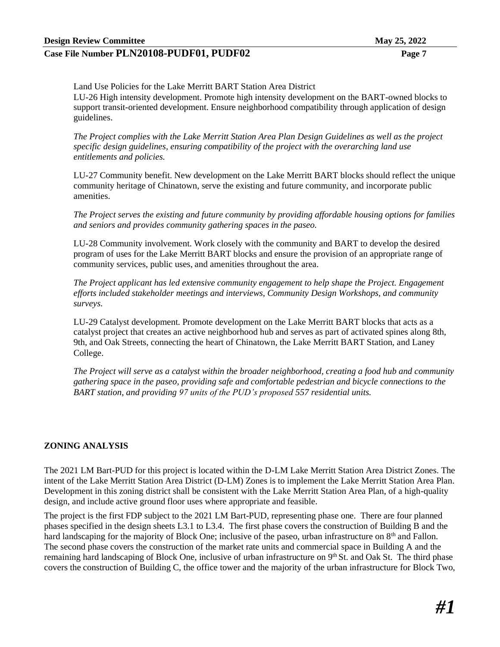Land Use Policies for the Lake Merritt BART Station Area District

LU-26 High intensity development. Promote high intensity development on the BART-owned blocks to support transit-oriented development. Ensure neighborhood compatibility through application of design guidelines.

*The Project complies with the Lake Merritt Station Area Plan Design Guidelines as well as the project specific design guidelines, ensuring compatibility of the project with the overarching land use entitlements and policies.* 

LU-27 Community benefit. New development on the Lake Merritt BART blocks should reflect the unique community heritage of Chinatown, serve the existing and future community, and incorporate public amenities.

*The Project serves the existing and future community by providing affordable housing options for families and seniors and provides community gathering spaces in the paseo.* 

LU-28 Community involvement. Work closely with the community and BART to develop the desired program of uses for the Lake Merritt BART blocks and ensure the provision of an appropriate range of community services, public uses, and amenities throughout the area.

*The Project applicant has led extensive community engagement to help shape the Project. Engagement efforts included stakeholder meetings and interviews, Community Design Workshops, and community surveys.* 

LU-29 Catalyst development. Promote development on the Lake Merritt BART blocks that acts as a catalyst project that creates an active neighborhood hub and serves as part of activated spines along 8th, 9th, and Oak Streets, connecting the heart of Chinatown, the Lake Merritt BART Station, and Laney College.

*The Project will serve as a catalyst within the broader neighborhood, creating a food hub and community gathering space in the paseo, providing safe and comfortable pedestrian and bicycle connections to the BART station, and providing 97 units of the PUD's proposed 557 residential units.* 

#### **ZONING ANALYSIS**

The 2021 LM Bart-PUD for this project is located within the D-LM Lake Merritt Station Area District Zones. The intent of the Lake Merritt Station Area District (D-LM) Zones is to implement the Lake Merritt Station Area Plan. Development in this zoning district shall be consistent with the Lake Merritt Station Area Plan, of a high-quality design, and include active ground floor uses where appropriate and feasible.

The project is the first FDP subject to the 2021 LM Bart-PUD, representing phase one. There are four planned phases specified in the design sheets L3.1 to L3.4. The first phase covers the construction of Building B and the hard landscaping for the majority of Block One; inclusive of the paseo, urban infrastructure on 8<sup>th</sup> and Fallon. The second phase covers the construction of the market rate units and commercial space in Building A and the remaining hard landscaping of Block One, inclusive of urban infrastructure on 9<sup>th</sup> St. and Oak St. The third phase covers the construction of Building C, the office tower and the majority of the urban infrastructure for Block Two,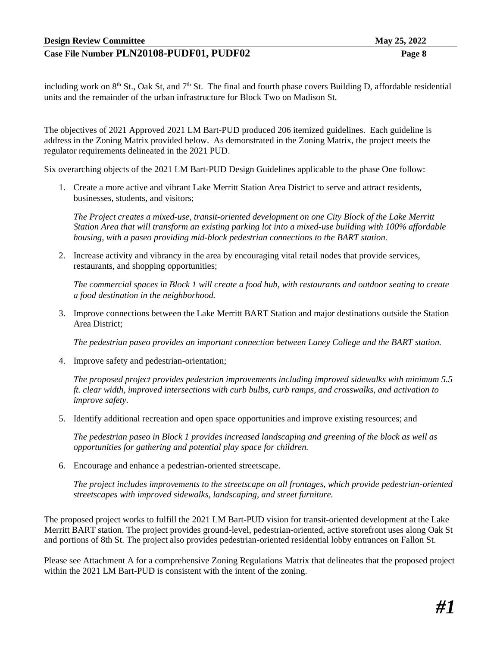including work on  $8<sup>th</sup>$  St., Oak St, and  $7<sup>th</sup>$  St. The final and fourth phase covers Building D, affordable residential units and the remainder of the urban infrastructure for Block Two on Madison St.

The objectives of 2021 Approved 2021 LM Bart-PUD produced 206 itemized guidelines. Each guideline is address in the Zoning Matrix provided below. As demonstrated in the Zoning Matrix, the project meets the regulator requirements delineated in the 2021 PUD.

Six overarching objects of the 2021 LM Bart-PUD Design Guidelines applicable to the phase One follow:

1. Create a more active and vibrant Lake Merritt Station Area District to serve and attract residents, businesses, students, and visitors;

*The Project creates a mixed-use, transit-oriented development on one City Block of the Lake Merritt Station Area that will transform an existing parking lot into a mixed-use building with 100% affordable housing, with a paseo providing mid-block pedestrian connections to the BART station.* 

2. Increase activity and vibrancy in the area by encouraging vital retail nodes that provide services, restaurants, and shopping opportunities;

*The commercial spaces in Block 1 will create a food hub, with restaurants and outdoor seating to create a food destination in the neighborhood.* 

3. Improve connections between the Lake Merritt BART Station and major destinations outside the Station Area District;

*The pedestrian paseo provides an important connection between Laney College and the BART station.* 

4. Improve safety and pedestrian-orientation;

*The proposed project provides pedestrian improvements including improved sidewalks with minimum 5.5 ft. clear width, improved intersections with curb bulbs, curb ramps, and crosswalks, and activation to improve safety.* 

5. Identify additional recreation and open space opportunities and improve existing resources; and

*The pedestrian paseo in Block 1 provides increased landscaping and greening of the block as well as opportunities for gathering and potential play space for children.* 

6. Encourage and enhance a pedestrian-oriented streetscape.

*The project includes improvements to the streetscape on all frontages, which provide pedestrian-oriented streetscapes with improved sidewalks, landscaping, and street furniture.* 

The proposed project works to fulfill the 2021 LM Bart-PUD vision for transit-oriented development at the Lake Merritt BART station. The project provides ground-level, pedestrian-oriented, active storefront uses along Oak St and portions of 8th St. The project also provides pedestrian-oriented residential lobby entrances on Fallon St.

Please see Attachment A for a comprehensive Zoning Regulations Matrix that delineates that the proposed project within the 2021 LM Bart-PUD is consistent with the intent of the zoning.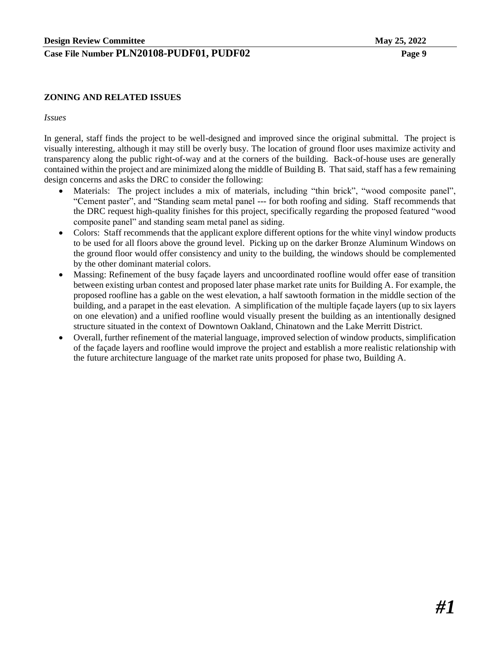#### **ZONING AND RELATED ISSUES**

#### *Issues*

In general, staff finds the project to be well-designed and improved since the original submittal. The project is visually interesting, although it may still be overly busy. The location of ground floor uses maximize activity and transparency along the public right-of-way and at the corners of the building. Back-of-house uses are generally contained within the project and are minimized along the middle of Building B. That said, staff has a few remaining design concerns and asks the DRC to consider the following:

- Materials: The project includes a mix of materials, including "thin brick", "wood composite panel", "Cement paster", and "Standing seam metal panel --- for both roofing and siding. Staff recommends that the DRC request high-quality finishes for this project, specifically regarding the proposed featured "wood composite panel" and standing seam metal panel as siding.
- Colors: Staff recommends that the applicant explore different options for the white vinyl window products to be used for all floors above the ground level. Picking up on the darker Bronze Aluminum Windows on the ground floor would offer consistency and unity to the building, the windows should be complemented by the other dominant material colors.
- Massing: Refinement of the busy façade layers and uncoordinated roofline would offer ease of transition between existing urban contest and proposed later phase market rate units for Building A. For example, the proposed roofline has a gable on the west elevation, a half sawtooth formation in the middle section of the building, and a parapet in the east elevation. A simplification of the multiple façade layers (up to six layers on one elevation) and a unified roofline would visually present the building as an intentionally designed structure situated in the context of Downtown Oakland, Chinatown and the Lake Merritt District.
- Overall, further refinement of the material language, improved selection of window products, simplification of the façade layers and roofline would improve the project and establish a more realistic relationship with the future architecture language of the market rate units proposed for phase two, Building A.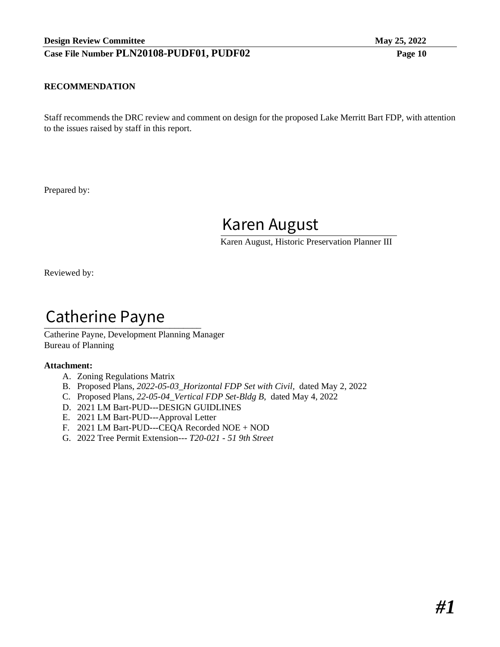#### **RECOMMENDATION**

Staff recommends the DRC review and comment on design for the proposed Lake Merritt Bart FDP, with attention to the issues raised by staff in this report.

Prepared by:

Karen August

Karen August, Historic Preservation Planner III

Reviewed by:

# Catherine Payne

Catherine Payne, Development Planning Manager Bureau of Planning

#### **Attachment:**

- A. Zoning Regulations Matrix
- B. Proposed Plans, *2022-05-03\_Horizontal FDP Set with Civil,* dated May 2, 2022
- C. Proposed Plans, *22-05-04\_Vertical FDP Set-Bldg B*, dated May 4, 2022
- D. 2021 LM Bart-PUD---DESIGN GUIDLINES
- E. 2021 LM Bart-PUD---Approval Letter
- F. 2021 LM Bart-PUD---CEQA Recorded NOE + NOD
- G. 2022 Tree Permit Extension--- *T20-021 - 51 9th Street*